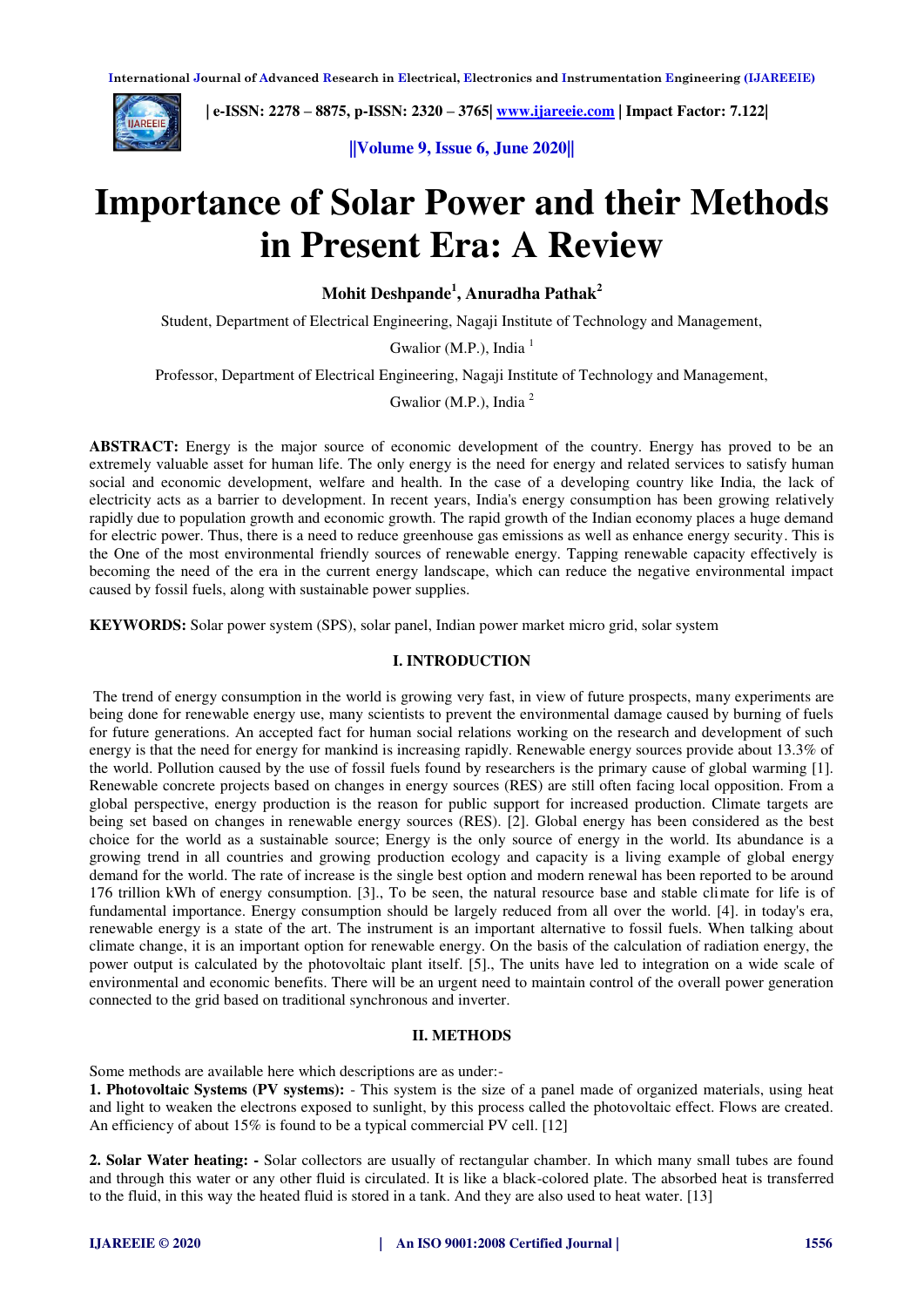**International Journal of Advanced Research in Electrical, Electronics and Instrumentation Engineering (IJAREEIE)** 



 **| e-ISSN: 2278 – 8875, p-ISSN: 2320 – 3765| [www.ijareeie.com](http://www.ijareeie.com/) | Impact Factor: 7.122|** 

**||Volume 9, Issue 6, June 2020||** 

# **Importance of Solar Power and their Methods in Present Era: A Review**

**Mohit Deshpande<sup>1</sup> , Anuradha Pathak<sup>2</sup>**

Student, Department of Electrical Engineering, Nagaji Institute of Technology and Management,

Gwalior (M.P.), India  $<sup>1</sup>$ </sup>

Professor, Department of Electrical Engineering, Nagaji Institute of Technology and Management,

Gwalior (M.P.), India <sup>2</sup>

ABSTRACT: Energy is the major source of economic development of the country. Energy has proved to be an extremely valuable asset for human life. The only energy is the need for energy and related services to satisfy human social and economic development, welfare and health. In the case of a developing country like India, the lack of electricity acts as a barrier to development. In recent years, India's energy consumption has been growing relatively rapidly due to population growth and economic growth. The rapid growth of the Indian economy places a huge demand for electric power. Thus, there is a need to reduce greenhouse gas emissions as well as enhance energy security. This is the One of the most environmental friendly sources of renewable energy. Tapping renewable capacity effectively is becoming the need of the era in the current energy landscape, which can reduce the negative environmental impact caused by fossil fuels, along with sustainable power supplies.

**KEYWORDS:** Solar power system (SPS), solar panel, Indian power market micro grid, solar system

# **I. INTRODUCTION**

 The trend of energy consumption in the world is growing very fast, in view of future prospects, many experiments are being done for renewable energy use, many scientists to prevent the environmental damage caused by burning of fuels for future generations. An accepted fact for human social relations working on the research and development of such energy is that the need for energy for mankind is increasing rapidly. Renewable energy sources provide about 13.3% of the world. Pollution caused by the use of fossil fuels found by researchers is the primary cause of global warming [1]. Renewable concrete projects based on changes in energy sources (RES) are still often facing local opposition. From a global perspective, energy production is the reason for public support for increased production. Climate targets are being set based on changes in renewable energy sources (RES). [2]. Global energy has been considered as the best choice for the world as a sustainable source; Energy is the only source of energy in the world. Its abundance is a growing trend in all countries and growing production ecology and capacity is a living example of global energy demand for the world. The rate of increase is the single best option and modern renewal has been reported to be around 176 trillion kWh of energy consumption. [3]., To be seen, the natural resource base and stable climate for life is of fundamental importance. Energy consumption should be largely reduced from all over the world. [4]. in today's era, renewable energy is a state of the art. The instrument is an important alternative to fossil fuels. When talking about climate change, it is an important option for renewable energy. On the basis of the calculation of radiation energy, the power output is calculated by the photovoltaic plant itself. [5]., The units have led to integration on a wide scale of environmental and economic benefits. There will be an urgent need to maintain control of the overall power generation connected to the grid based on traditional synchronous and inverter.

#### **II. METHODS**

Some methods are available here which descriptions are as under:-

**1. Photovoltaic Systems (PV systems):** - This system is the size of a panel made of organized materials, using heat and light to weaken the electrons exposed to sunlight, by this process called the photovoltaic effect. Flows are created. An efficiency of about 15% is found to be a typical commercial PV cell. [12]

**2. Solar Water heating: -** Solar collectors are usually of rectangular chamber. In which many small tubes are found and through this water or any other fluid is circulated. It is like a black-colored plate. The absorbed heat is transferred to the fluid, in this way the heated fluid is stored in a tank. And they are also used to heat water. [13]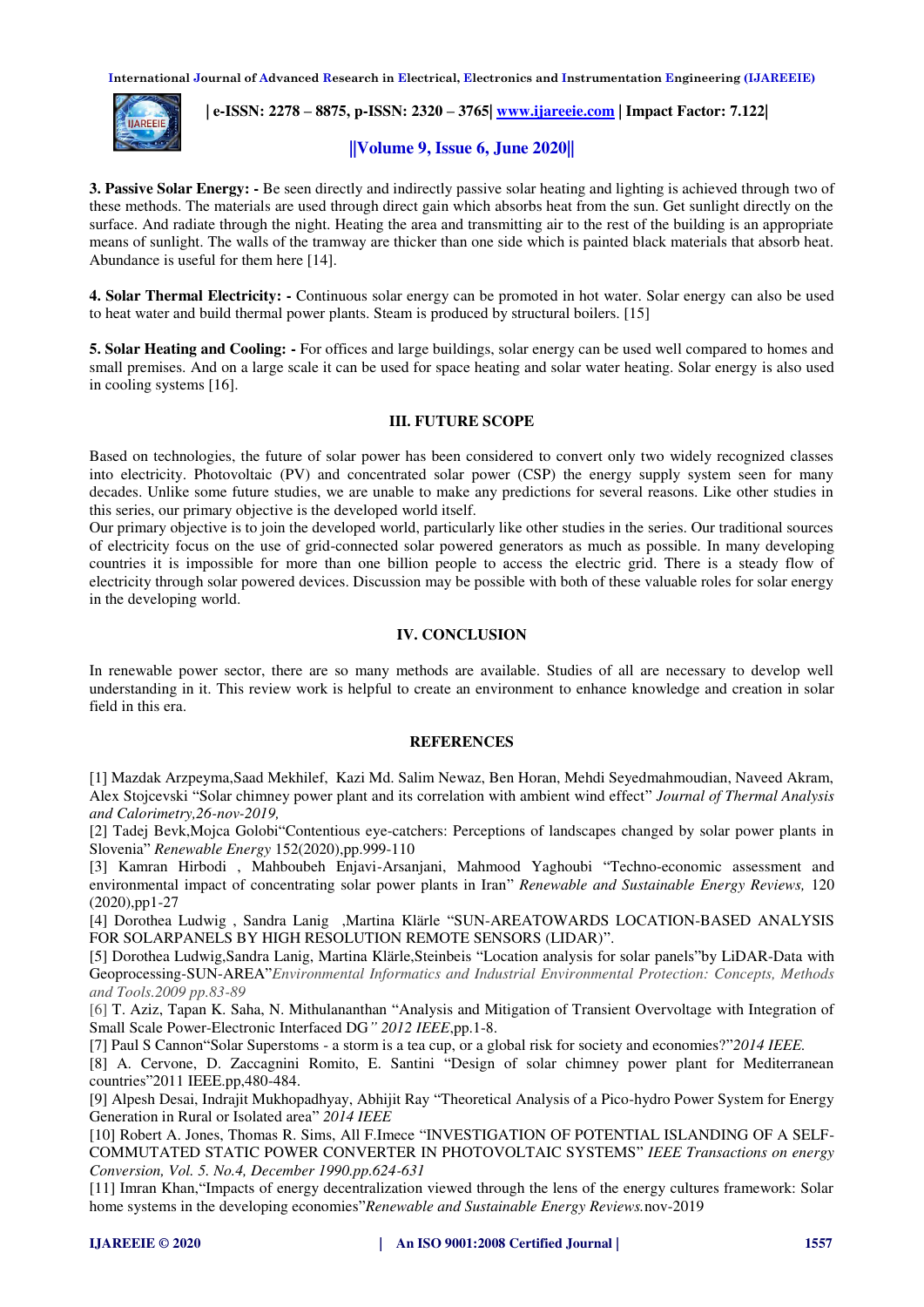**International Journal of Advanced Research in Electrical, Electronics and Instrumentation Engineering (IJAREEIE)** 



 **| e-ISSN: 2278 – 8875, p-ISSN: 2320 – 3765| [www.ijareeie.com](http://www.ijareeie.com/) | Impact Factor: 7.122|** 

# **||Volume 9, Issue 6, June 2020||**

**3. Passive Solar Energy: -** Be seen directly and indirectly passive solar heating and lighting is achieved through two of these methods. The materials are used through direct gain which absorbs heat from the sun. Get sunlight directly on the surface. And radiate through the night. Heating the area and transmitting air to the rest of the building is an appropriate means of sunlight. The walls of the tramway are thicker than one side which is painted black materials that absorb heat. Abundance is useful for them here [14].

**4. Solar Thermal Electricity: -** Continuous solar energy can be promoted in hot water. Solar energy can also be used to heat water and build thermal power plants. Steam is produced by structural boilers. [15]

**5. Solar Heating and Cooling: -** For offices and large buildings, solar energy can be used well compared to homes and small premises. And on a large scale it can be used for space heating and solar water heating. Solar energy is also used in cooling systems [16].

# **III. FUTURE SCOPE**

Based on technologies, the future of solar power has been considered to convert only two widely recognized classes into electricity. Photovoltaic (PV) and concentrated solar power (CSP) the energy supply system seen for many decades. Unlike some future studies, we are unable to make any predictions for several reasons. Like other studies in this series, our primary objective is the developed world itself.

Our primary objective is to join the developed world, particularly like other studies in the series. Our traditional sources of electricity focus on the use of grid-connected solar powered generators as much as possible. In many developing countries it is impossible for more than one billion people to access the electric grid. There is a steady flow of electricity through solar powered devices. Discussion may be possible with both of these valuable roles for solar energy in the developing world.

# **IV. CONCLUSION**

In renewable power sector, there are so many methods are available. Studies of all are necessary to develop well understanding in it. This review work is helpful to create an environment to enhance knowledge and creation in solar field in this era.

#### **REFERENCES**

[1] Mazdak Arzpeyma,Saad Mekhilef, Kazi Md. Salim Newaz, Ben Horan, Mehdi Seyedmahmoudian, Naveed Akram, Alex Stojcevski "Solar chimney power plant and its correlation with ambient wind effect" *Journal of Thermal Analysis and Calorimetry,26-nov-2019,* 

[2] Tadej Bevk,Mojca Golobi"Contentious eye-catchers: Perceptions of landscapes changed by solar power plants in Slovenia" *Renewable Energy* 152(2020),pp.999-110

[3] Kamran Hirbodi , Mahboubeh Enjavi-Arsanjani, Mahmood Yaghoubi "Techno-economic assessment and environmental impact of concentrating solar power plants in Iran" *Renewable and Sustainable Energy Reviews,* 120 (2020),pp1-27

[4] Dorothea Ludwig , Sandra Lanig ,Martina Klärle "SUN-AREATOWARDS LOCATION-BASED ANALYSIS FOR SOLARPANELS BY HIGH RESOLUTION REMOTE SENSORS (LIDAR)".

[5] Dorothea Ludwig,Sandra Lanig, Martina Klärle,Steinbeis "Location analysis for solar panels"by LiDAR-Data with Geoprocessing-SUN-AREA"*Environmental Informatics and Industrial Environmental Protection: Concepts, Methods and Tools.2009 pp.83-89*

[6] T. Aziz, Tapan K. Saha, N. Mithulananthan "Analysis and Mitigation of Transient Overvoltage with Integration of Small Scale Power-Electronic Interfaced DG*" 2012 IEEE*,pp.1-8.

[7] Paul S Cannon"Solar Superstoms - a storm is a tea cup, or a global risk for society and economies?"*2014 IEEE.* 

[8] A. Cervone, D. Zaccagnini Romito, E. Santini "Design of solar chimney power plant for Mediterranean countries"2011 IEEE.pp,480-484.

[9] Alpesh Desai, Indrajit Mukhopadhyay, Abhijit Ray "Theoretical Analysis of a Pico-hydro Power System for Energy Generation in Rural or Isolated area" *2014 IEEE* 

[10] Robert A. Jones, Thomas R. Sims, All F.Imece "INVESTIGATION OF POTENTIAL ISLANDING OF A SELF-COMMUTATED STATIC POWER CONVERTER IN PHOTOVOLTAIC SYSTEMS" *IEEE Transactions on energy Conversion, Vol. 5. No.4, December 1990.pp.624-631*

[11] Imran Khan,"Impacts of energy decentralization viewed through the lens of the energy cultures framework: Solar home systems in the developing economies"*Renewable and Sustainable Energy Reviews.*nov-2019